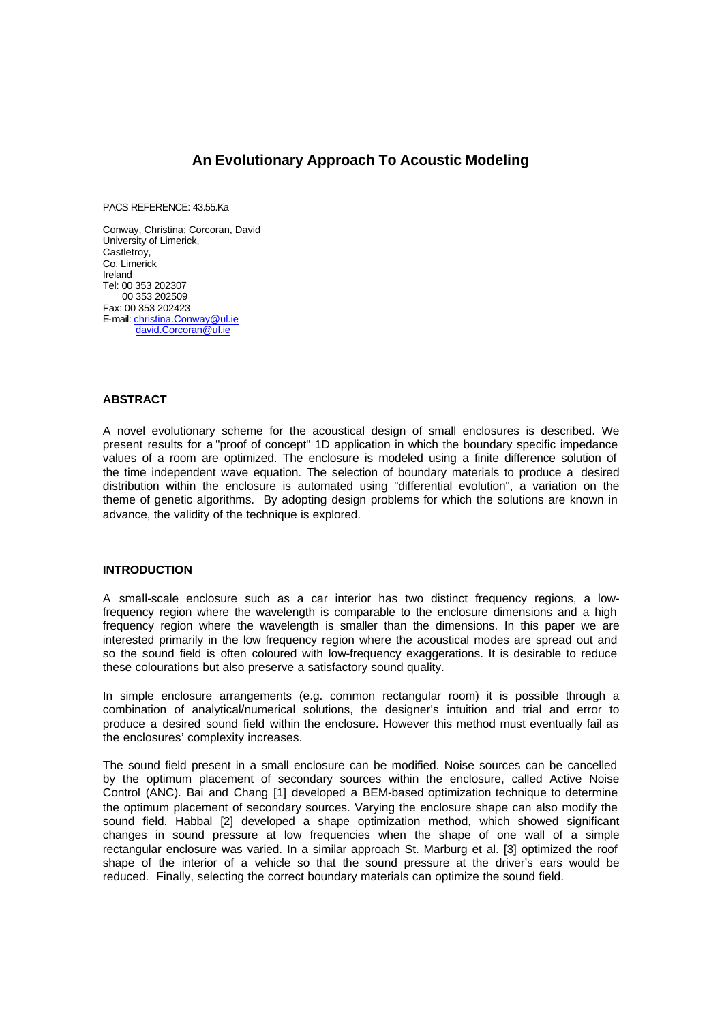# **An Evolutionary Approach To Acoustic Modeling**

PACS REFERENCE: 43.55.Ka

Conway, Christina; Corcoran, David University of Limerick, Castletroy, Co. Limerick Ireland Tel: 00 353 202307 00 353 202509 Fax: 00 353 202423 E-mail: christina.Conway@ul.ie david.Corcoran@ul.ie

## **ABSTRACT**

A novel evolutionary scheme for the acoustical design of small enclosures is described. We present results for a "proof of concept" 1D application in which the boundary specific impedance values of a room are optimized. The enclosure is modeled using a finite difference solution of the time independent wave equation. The selection of boundary materials to produce a desired distribution within the enclosure is automated using "differential evolution", a variation on the theme of genetic algorithms. By adopting design problems for which the solutions are known in advance, the validity of the technique is explored.

#### **INTRODUCTION**

A small-scale enclosure such as a car interior has two distinct frequency regions, a lowfrequency region where the wavelength is comparable to the enclosure dimensions and a high frequency region where the wavelength is smaller than the dimensions. In this paper we are interested primarily in the low frequency region where the acoustical modes are spread out and so the sound field is often coloured with low-frequency exaggerations. It is desirable to reduce these colourations but also preserve a satisfactory sound quality.

In simple enclosure arrangements (e.g. common rectangular room) it is possible through a combination of analytical/numerical solutions, the designer's intuition and trial and error to produce a desired sound field within the enclosure. However this method must eventually fail as the enclosures' complexity increases.

The sound field present in a small enclosure can be modified. Noise sources can be cancelled by the optimum placement of secondary sources within the enclosure, called Active Noise Control (ANC). Bai and Chang [1] developed a BEM-based optimization technique to determine the optimum placement of secondary sources. Varying the enclosure shape can also modify the sound field. Habbal [2] developed a shape optimization method, which showed significant changes in sound pressure at low frequencies when the shape of one wall of a simple rectangular enclosure was varied. In a similar approach St. Marburg et al. [3] optimized the roof shape of the interior of a vehicle so that the sound pressure at the driver's ears would be reduced. Finally, selecting the correct boundary materials can optimize the sound field.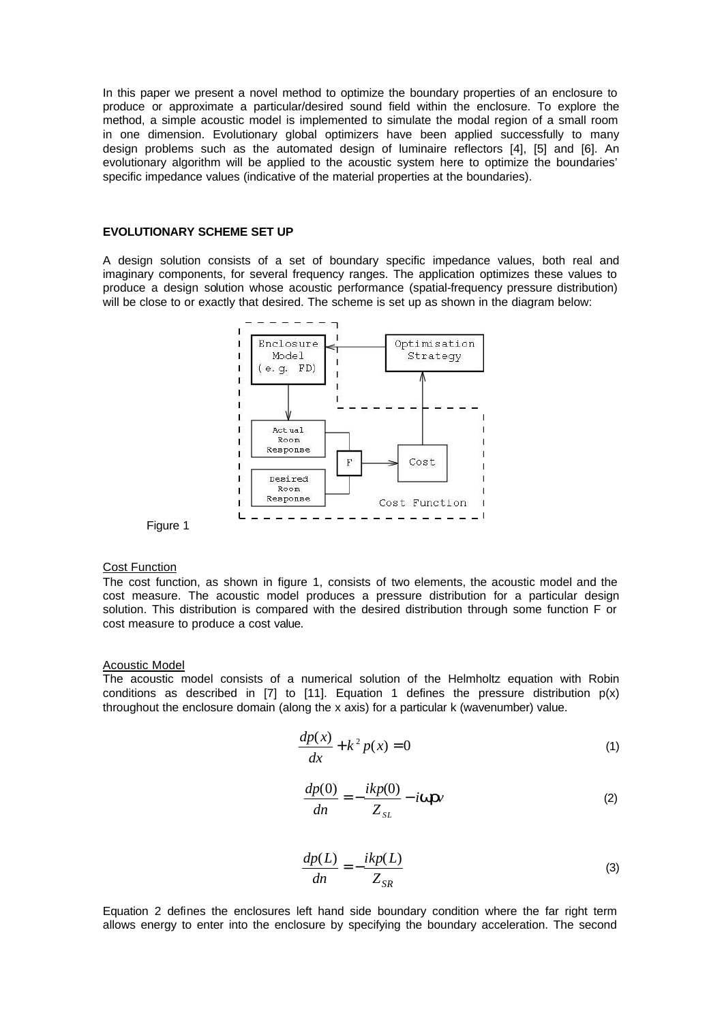In this paper we present a novel method to optimize the boundary properties of an enclosure to produce or approximate a particular/desired sound field within the enclosure. To explore the method, a simple acoustic model is implemented to simulate the modal region of a small room in one dimension. Evolutionary global optimizers have been applied successfully to many design problems such as the automated design of luminaire reflectors [4], [5] and [6]. An evolutionary algorithm will be applied to the acoustic system here to optimize the boundaries' specific impedance values (indicative of the material properties at the boundaries).

# **EVOLUTIONARY SCHEME SET UP**

A design solution consists of a set of boundary specific impedance values, both real and imaginary components, for several frequency ranges. The application optimizes these values to produce a design solution whose acoustic performance (spatial-frequency pressure distribution) will be close to or exactly that desired. The scheme is set up as shown in the diagram below:





#### Cost Function

The cost function, as shown in figure 1, consists of two elements, the acoustic model and the cost measure. The acoustic model produces a pressure distribution for a particular design solution. This distribution is compared with the desired distribution through some function F or cost measure to produce a cost value.

#### Acoustic Model

The acoustic model consists of a numerical solution of the Helmholtz equation with Robin conditions as described in [7] to [11]. Equation 1 defines the pressure distribution  $p(x)$ throughout the enclosure domain (along the x axis) for a particular k (wavenumber) value.

$$
\frac{dp(x)}{dx} + k^2 p(x) = 0\tag{1}
$$

$$
\frac{dp(0)}{dn} = -\frac{ikp(0)}{Z_{SL}} - i\mathbf{W}\mathbf{r}\mathbf{v}
$$
 (2)

$$
\frac{dp(L)}{dn} = -\frac{ikp(L)}{Z_{SR}}\tag{3}
$$

Equation 2 defines the enclosures left hand side boundary condition where the far right term allows energy to enter into the enclosure by specifying the boundary acceleration. The second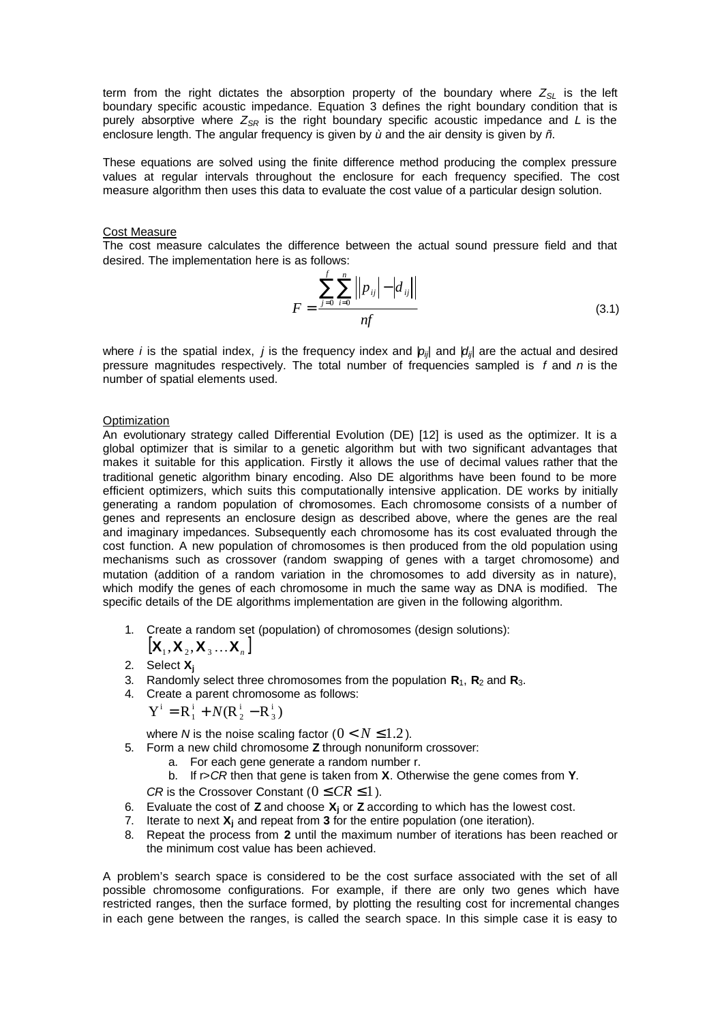term from the right dictates the absorption property of the boundary where *ZSL* is the left boundary specific acoustic impedance. Equation 3 defines the right boundary condition that is purely absorptive where  $Z_{SR}$  is the right boundary specific acoustic impedance and *L* is the enclosure length. The angular frequency is given by *ù* and the air density is given by *ñ*.

These equations are solved using the finite difference method producing the complex pressure values at regular intervals throughout the enclosure for each frequency specified. The cost measure algorithm then uses this data to evaluate the cost value of a particular design solution.

# Cost Measure

The cost measure calculates the difference between the actual sound pressure field and that desired. The implementation here is as follows:

$$
F = \frac{\sum_{j=0}^{f} \sum_{i=0}^{n} ||p_{ij}| - |d_{ij}||}{nf}
$$
 (3.1)

where *i* is the spatial index, *j* is the frequency index and  $|p_{ii}|$  and  $|d_{ii}|$  are the actual and desired pressure magnitudes respectively. The total number of frequencies sampled is *f* and *n* is the number of spatial elements used.

# **Optimization**

An evolutionary strategy called Differential Evolution (DE) [12] is used as the optimizer. It is a global optimizer that is similar to a genetic algorithm but with two significant advantages that makes it suitable for this application. Firstly it allows the use of decimal values rather that the traditional genetic algorithm binary encoding. Also DE algorithms have been found to be more efficient optimizers, which suits this computationally intensive application. DE works by initially generating a random population of chromosomes. Each chromosome consists of a number of genes and represents an enclosure design as described above, where the genes are the real and imaginary impedances. Subsequently each chromosome has its cost evaluated through the cost function. A new population of chromosomes is then produced from the old population using mechanisms such as crossover (random swapping of genes with a target chromosome) and mutation (addition of a random variation in the chromosomes to add diversity as in nature), which modify the genes of each chromosome in much the same way as DNA is modified. The specific details of the DE algorithms implementation are given in the following algorithm.

1. Create a random set (population) of chromosomes (design solutions):

$$
[\mathbf{X}_1, \mathbf{X}_2, \mathbf{X}_3 \dots \mathbf{X}_n]
$$

- 2. Select **X<sup>j</sup>**
- 3. Randomly select three chromosomes from the population **R**1, **R**2 and **R**3.
- 4. Create a parent chromosome as follows:

$$
Y^i = R_1^i + N(R_2^i - R_3^i)
$$

where *N* is the noise scaling factor  $(0 < N \le 1.2)$ .

- 5. Form a new child chromosome **Z** through nonuniform crossover:
	- a. For each gene generate a random number r.
	- b. If r>*CR* then that gene is taken from **X**. Otherwise the gene comes from **Y**.

*CR* is the Crossover Constant ( $0 \leq CR \leq 1$ ).

- 6. Evaluate the cost of **Z** and choose **X<sup>j</sup>** or **Z** according to which has the lowest cost.
- 7. Iterate to next **X**<sub>j</sub> and repeat from **3** for the entire population (one iteration).
- 8. Repeat the process from **2** until the maximum number of iterations has been reached or the minimum cost value has been achieved.

A problem's search space is considered to be the cost surface associated with the set of all possible chromosome configurations. For example, if there are only two genes which have restricted ranges, then the surface formed, by plotting the resulting cost for incremental changes in each gene between the ranges, is called the search space. In this simple case it is easy to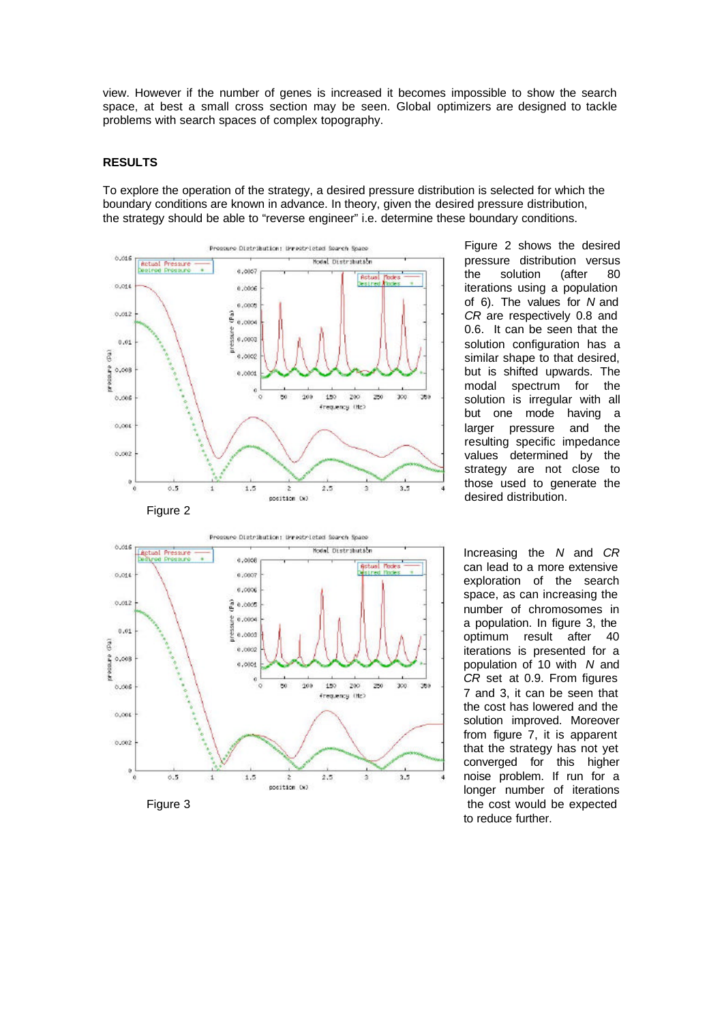view. However if the number of genes is increased it becomes impossible to show the search space, at best a small cross section may be seen. Global optimizers are designed to tackle problems with search spaces of complex topography.

#### **RESULTS**

To explore the operation of the strategy, a desired pressure distribution is selected for which the boundary conditions are known in advance. In theory, given the desired pressure distribution, the strategy should be able to "reverse engineer" i.e. determine these boundary conditions.



Figure 2 shows the desired pressure distribution versus the solution (after 80 iterations using a population of 6). The values for *N* and *CR* are respectively 0.8 and 0.6. It can be seen that the solution configuration has a similar shape to that desired, but is shifted upwards. The modal spectrum for the solution is irregular with all but one mode having a larger pressure and the resulting specific impedance values determined by the strategy are not close to those used to generate the desired distribution.



Increasing the *N* and *CR* can lead to a more extensive exploration of the search space, as can increasing the number of chromosomes in a population. In figure 3, the optimum result after 40 iterations is presented for a population of 10 with *N* and *CR* set at 0.9. From figures 7 and 3, it can be seen that the cost has lowered and the solution improved. Moreover from figure 7, it is apparent that the strategy has not yet converged for this higher noise problem. If run for a longer number of iterations to reduce further.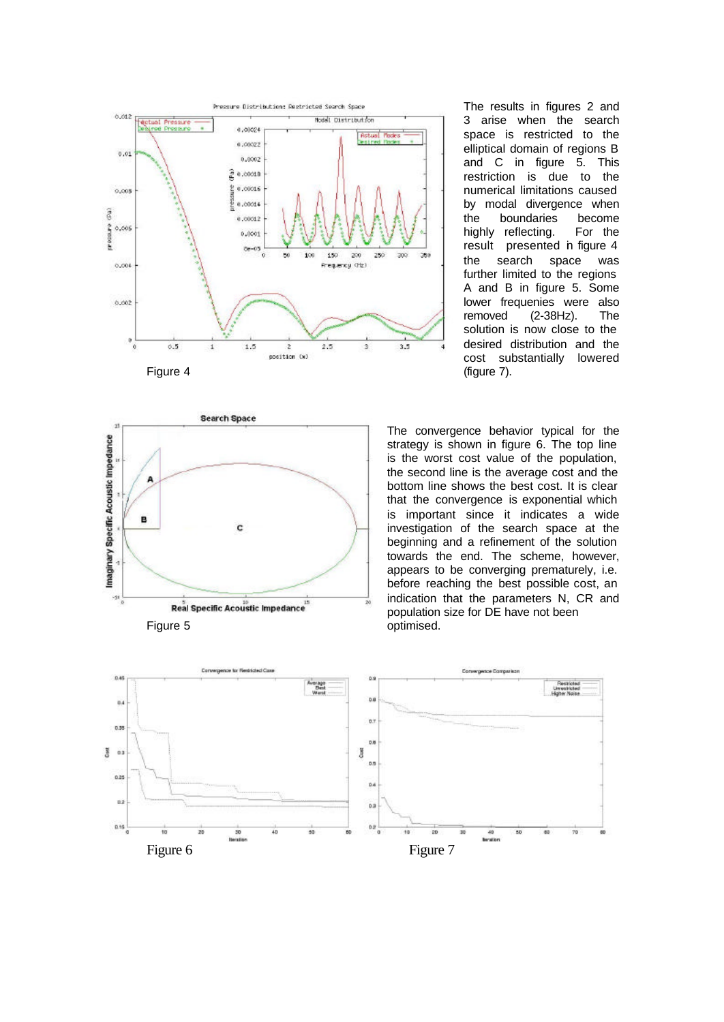



The results in figures 2 and 3 arise when the search space is restricted to the elliptical domain of regions B and C in figure 5. This restriction is due to the numerical limitations caused by modal divergence when the boundaries become highly reflecting. For the result presented in figure 4 the search space was further limited to the regions A and B in figure 5. Some lower frequenies were also removed (2-38Hz). The solution is now close to the desired distribution and the cost substantially lowered

The convergence behavior typical for the strategy is shown in figure 6. The top line is the worst cost value of the population, the second line is the average cost and the bottom line shows the best cost. It is clear that the convergence is exponential which is important since it indicates a wide investigation of the search space at the beginning and a refinement of the solution towards the end. The scheme, however, appears to be converging prematurely, i.e. before reaching the best possible cost, an indication that the parameters N, CR and population size for DE have not been